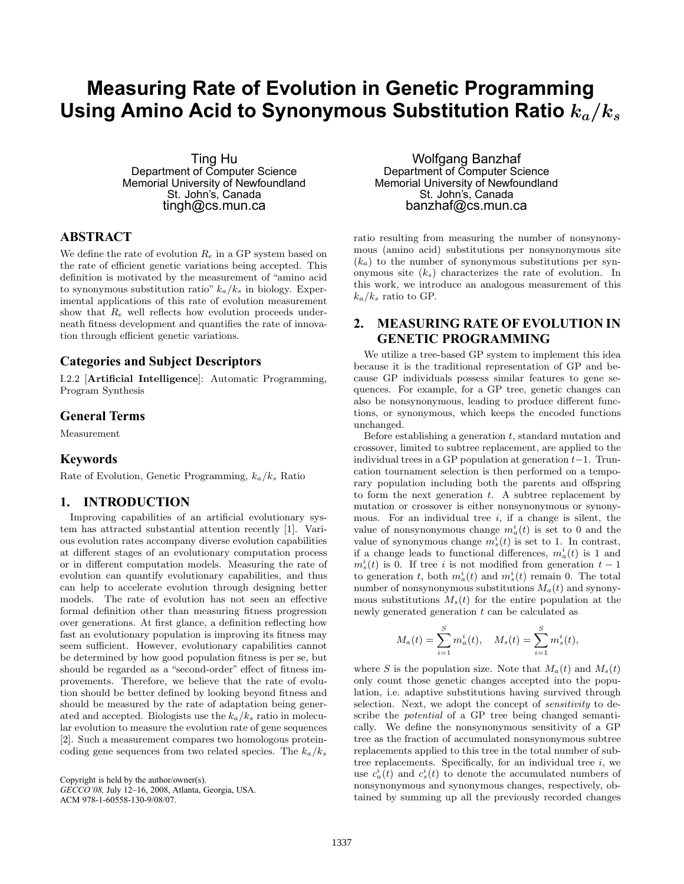# **Measuring Rate of Evolution in Genetic Programming** Using Amino Acid to Synonymous Substitution Ratio  $k_a/k_s$

Ting Hu Department of Computer Science Memorial University of Newfoundland St. John's, Canada tingh@cs.mun.ca

# **ABSTRACT**

We define the rate of evolution  $R_e$  in a GP system based on the rate of efficient genetic variations being accepted. This definition is motivated by the measurement of "amino acid to synonymous substitution ratio"  $k_a/k_s$  in biology. Experimental applications of this rate of evolution measurement show that  $R_e$  well reflects how evolution proceeds underneath fitness development and quantifies the rate of innovation through efficient genetic variations.

# **Categories and Subject Descriptors**

I.2.2 [Artificial Intelligence]: Automatic Programming, Program Synthesis

### **General Terms**

Measurement

#### **Keywords**

Rate of Evolution, Genetic Programming,  $k_a/k_s$  Ratio

#### **1. INTRODUCTION**

Improving capabilities of an artificial evolutionary system has attracted substantial attention recently [1]. Various evolution rates accompany diverse evolution capabilities at different stages of an evolutionary computation process or in different computation models. Measuring the rate of evolution can quantify evolutionary capabilities, and thus can help to accelerate evolution through designing better models. The rate of evolution has not seen an effective formal definition other than measuring fitness progression over generations. At first glance, a definition reflecting how fast an evolutionary population is improving its fitness may seem sufficient. However, evolutionary capabilities cannot be determined by how good population fitness is per se, but should be regarded as a "second-order" effect of fitness improvements. Therefore, we believe that the rate of evolution should be better defined by looking beyond fitness and should be measured by the rate of adaptation being generated and accepted. Biologists use the  $k_a/k_s$  ratio in molecular evolution to measure the evolution rate of gene sequences [2]. Such a measurement compares two homologous proteincoding gene sequences from two related species. The  $k_a/k_s$ 

Copyright is held by the author/owner(s). *GECCO'08,* July 12–16, 2008, Atlanta, Georgia, USA.

ACM 978-1-60558-130-9/08/07.

Wolfgang Banzhaf Department of Computer Science Memorial University of Newfoundland St. John's, Canada banzhaf@cs.mun.ca

ratio resulting from measuring the number of nonsynonymous (amino acid) substitutions per nonsynonymous site  $(k_a)$  to the number of synonymous substitutions per synonymous site  $(k<sub>s</sub>)$  characterizes the rate of evolution. In this work, we introduce an analogous measurement of this  $k_a/k_s$  ratio to GP.

# **2. MEASURING RATE OF EVOLUTION IN GENETIC PROGRAMMING**

We utilize a tree-based GP system to implement this idea because it is the traditional representation of GP and because GP individuals possess similar features to gene sequences. For example, for a GP tree, genetic changes can also be nonsynonymous, leading to produce different functions, or synonymous, which keeps the encoded functions unchanged.

Before establishing a generation  $t$ , standard mutation and crossover, limited to subtree replacement, are applied to the individual trees in a GP population at generation  $t-1$ . Truncation tournament selection is then performed on a temporary population including both the parents and offspring to form the next generation  $t$ . A subtree replacement by mutation or crossover is either nonsynonymous or synonymous. For an individual tree  $i$ , if a change is silent, the value of nonsynonymous change  $m_a^i(t)$  is set to 0 and the value of synonymous change  $m_s^i(t)$  is set to 1. In contrast, if a change leads to functional differences,  $m_a^i(t)$  is 1 and  $m_s^i(t)$  is 0. If tree i is not modified from generation  $t-1$ to generation t, both  $m_a^i(t)$  and  $m_s^i(t)$  remain 0. The total number of nonsynonymous substitutions  $M_a(t)$  and synonymous substitutions  $M_s(t)$  for the entire population at the newly generated generation t can be calculated as

$$
M_a(t) = \sum_{i=1}^{S} m_a^i(t), \quad M_s(t) = \sum_{i=1}^{S} m_s^i(t),
$$

where S is the population size. Note that  $M_a(t)$  and  $M_s(t)$ only count those genetic changes accepted into the population, i.e. adaptive substitutions having survived through selection. Next, we adopt the concept of *sensitivity* to describe the potential of a GP tree being changed semantically. We define the nonsynonymous sensitivity of a GP tree as the fraction of accumulated nonsynonymous subtree replacements applied to this tree in the total number of subtree replacements. Specifically, for an individual tree  $i$ , we use  $c_a^i(t)$  and  $c_s^i(t)$  to denote the accumulated numbers of nonsynonymous and synonymous changes, respectively, obtained by summing up all the previously recorded changes